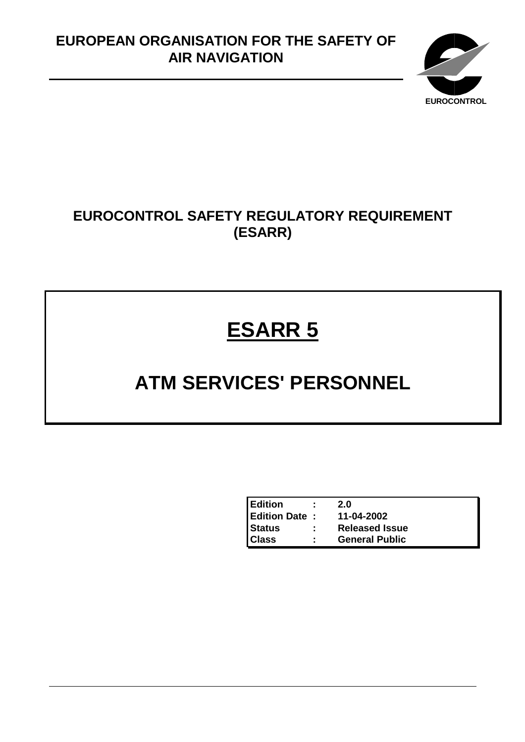# **EUROPEAN ORGANISATION FOR THE SAFETY OF AIR NAVIGATION**



# **EUROCONTROL SAFETY REGULATORY REQUIREMENT (ESARR)**

# **ESARR 5**

# **ATM SERVICES' PERSONNEL**

| <b>Edition</b>       | 2.0                   |
|----------------------|-----------------------|
| <b>Edition Date:</b> | 11-04-2002            |
| <b>Status</b>        | <b>Released Issue</b> |
| <b>Class</b>         | <b>General Public</b> |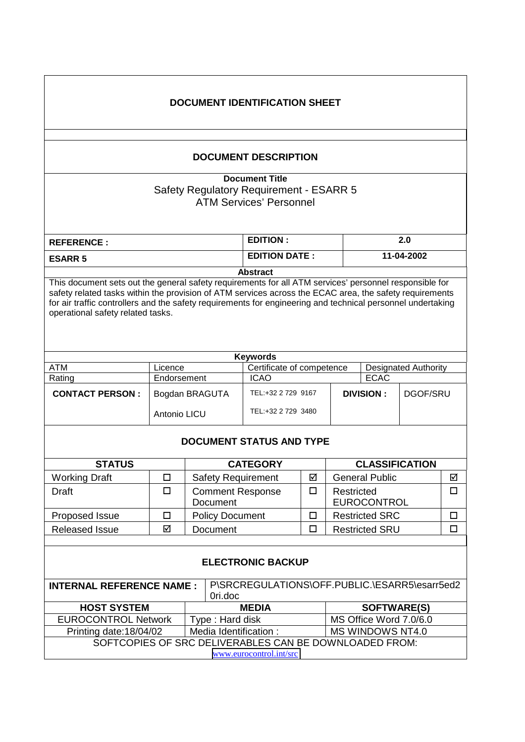| <b>DOCUMENT IDENTIFICATION SHEET</b>                                                                                                                                                                                                                                                                                                                                  |                                                                     |                                                                            |                      |                        |                              |                                  |            |        |
|-----------------------------------------------------------------------------------------------------------------------------------------------------------------------------------------------------------------------------------------------------------------------------------------------------------------------------------------------------------------------|---------------------------------------------------------------------|----------------------------------------------------------------------------|----------------------|------------------------|------------------------------|----------------------------------|------------|--------|
| <b>DOCUMENT DESCRIPTION</b>                                                                                                                                                                                                                                                                                                                                           |                                                                     |                                                                            |                      |                        |                              |                                  |            |        |
| <b>Document Title</b><br>Safety Regulatory Requirement - ESARR 5<br><b>ATM Services' Personnel</b>                                                                                                                                                                                                                                                                    |                                                                     |                                                                            |                      |                        |                              |                                  |            |        |
| <b>REFERENCE:</b>                                                                                                                                                                                                                                                                                                                                                     |                                                                     |                                                                            | <b>EDITION:</b>      |                        |                              | 2.0                              |            |        |
| <b>ESARR 5</b>                                                                                                                                                                                                                                                                                                                                                        |                                                                     |                                                                            | <b>EDITION DATE:</b> |                        |                              |                                  | 11-04-2002 |        |
|                                                                                                                                                                                                                                                                                                                                                                       |                                                                     |                                                                            | <b>Abstract</b>      |                        |                              |                                  |            |        |
| This document sets out the general safety requirements for all ATM services' personnel responsible for<br>safety related tasks within the provision of ATM services across the ECAC area, the safety requirements<br>for air traffic controllers and the safety requirements for engineering and technical personnel undertaking<br>operational safety related tasks. |                                                                     |                                                                            |                      |                        |                              |                                  |            |        |
|                                                                                                                                                                                                                                                                                                                                                                       |                                                                     |                                                                            | <b>Keywords</b>      |                        |                              |                                  |            |        |
| <b>ATM</b>                                                                                                                                                                                                                                                                                                                                                            | Certificate of competence<br><b>Designated Authority</b><br>Licence |                                                                            |                      |                        |                              |                                  |            |        |
| Rating                                                                                                                                                                                                                                                                                                                                                                | Endorsement                                                         |                                                                            | <b>ICAO</b>          |                        |                              | <b>ECAC</b>                      |            |        |
| <b>CONTACT PERSON:</b>                                                                                                                                                                                                                                                                                                                                                |                                                                     | TEL:+32 2 729 9167<br>Bogdan BRAGUTA<br>TEL:+32 2 729 3480<br>Antonio LICU |                      |                        | <b>DIVISION:</b><br>DGOF/SRU |                                  |            |        |
| <b>DOCUMENT STATUS AND TYPE</b>                                                                                                                                                                                                                                                                                                                                       |                                                                     |                                                                            |                      |                        |                              |                                  |            |        |
| <b>STATUS</b>                                                                                                                                                                                                                                                                                                                                                         |                                                                     | <b>CATEGORY</b>                                                            |                      |                        | <b>CLASSIFICATION</b>        |                                  |            |        |
| <b>Working Draft</b>                                                                                                                                                                                                                                                                                                                                                  | $\Box$                                                              | Safety Requirement                                                         |                      | $\Delta$               | General Public               |                                  | ☑          |        |
| <b>Draft</b>                                                                                                                                                                                                                                                                                                                                                          | $\Box$                                                              | <b>Comment Response</b><br>Document                                        |                      | $\Box$                 |                              | Restricted<br><b>EUROCONTROL</b> |            | $\Box$ |
| Proposed Issue                                                                                                                                                                                                                                                                                                                                                        | $\Box$                                                              | <b>Policy Document</b>                                                     |                      | □                      | <b>Restricted SRC</b>        |                                  | $\Box$     |        |
| <b>Released Issue</b>                                                                                                                                                                                                                                                                                                                                                 | ☑                                                                   | Document                                                                   |                      | $\Box$                 |                              | <b>Restricted SRU</b>            |            | $\Box$ |
| <b>ELECTRONIC BACKUP</b>                                                                                                                                                                                                                                                                                                                                              |                                                                     |                                                                            |                      |                        |                              |                                  |            |        |
| P\SRCREGULATIONS\OFF.PUBLIC.\ESARR5\esarr5ed2<br><b>INTERNAL REFERENCE NAME:</b><br>Ori.doc                                                                                                                                                                                                                                                                           |                                                                     |                                                                            |                      |                        |                              |                                  |            |        |
| <b>HOST SYSTEM</b>                                                                                                                                                                                                                                                                                                                                                    |                                                                     |                                                                            | <b>MEDIA</b>         |                        | <b>SOFTWARE(S)</b>           |                                  |            |        |
| <b>EUROCONTROL Network</b>                                                                                                                                                                                                                                                                                                                                            | Type: Hard disk                                                     |                                                                            |                      | MS Office Word 7.0/6.0 |                              |                                  |            |        |
| Printing date: 18/04/02                                                                                                                                                                                                                                                                                                                                               | Media Identification:<br>MS WINDOWS NT4.0                           |                                                                            |                      |                        |                              |                                  |            |        |
|                                                                                                                                                                                                                                                                                                                                                                       |                                                                     | SOFTCOPIES OF SRC DELIVERABLES CAN BE DOWNLOADED FROM:                     |                      |                        |                              |                                  |            |        |
| www.eurocontrol.int/src                                                                                                                                                                                                                                                                                                                                               |                                                                     |                                                                            |                      |                        |                              |                                  |            |        |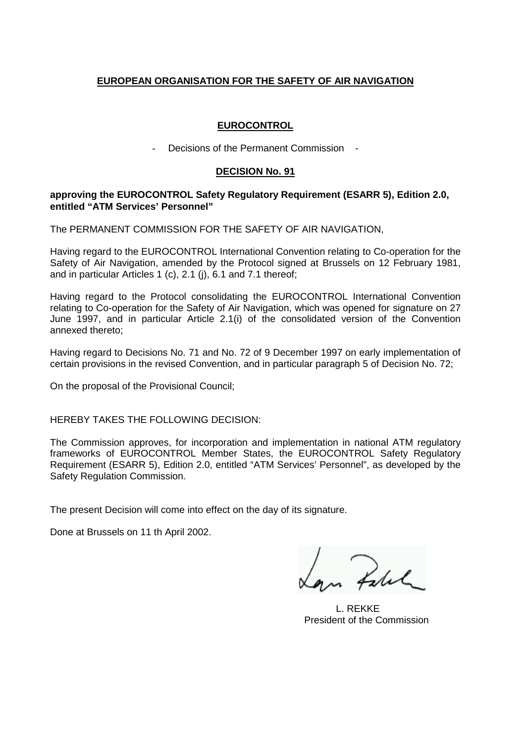### **EUROPEAN ORGANISATION FOR THE SAFETY OF AIR NAVIGATION**

#### **EUROCONTROL**

- Decisions of the Permanent Commission -

#### **DECISION No. 91**

#### **approving the EUROCONTROL Safety Regulatory Requirement (ESARR 5), Edition 2.0, entitled "ATM Services' Personnel"**

The PERMANENT COMMISSION FOR THE SAFETY OF AIR NAVIGATION,

Having regard to the EUROCONTROL International Convention relating to Co-operation for the Safety of Air Navigation, amended by the Protocol signed at Brussels on 12 February 1981, and in particular Articles 1 (c), 2.1 (j), 6.1 and 7.1 thereof;

Having regard to the Protocol consolidating the EUROCONTROL International Convention relating to Co-operation for the Safety of Air Navigation, which was opened for signature on 27 June 1997, and in particular Article 2.1(i) of the consolidated version of the Convention annexed thereto;

Having regard to Decisions No. 71 and No. 72 of 9 December 1997 on early implementation of certain provisions in the revised Convention, and in particular paragraph 5 of Decision No. 72;

On the proposal of the Provisional Council;

HEREBY TAKES THE FOLLOWING DECISION:

The Commission approves, for incorporation and implementation in national ATM regulatory frameworks of EUROCONTROL Member States, the EUROCONTROL Safety Regulatory Requirement (ESARR 5), Edition 2.0, entitled "ATM Services' Personnel", as developed by the Safety Regulation Commission.

The present Decision will come into effect on the day of its signature.

Done at Brussels on 11 th April 2002.

on Zelel

L. REKKE President of the Commission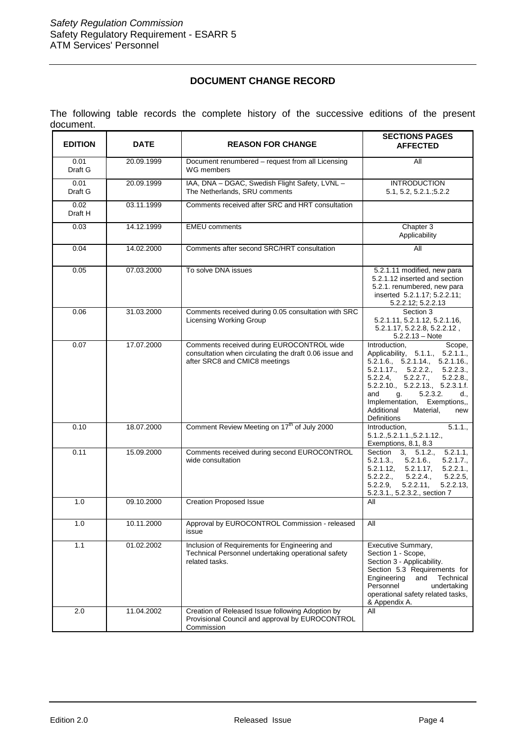#### **DOCUMENT CHANGE RECORD**

The following table records the complete history of the successive editions of the present document.

| <b>EDITION</b><br><b>DATE</b> |            | <b>REASON FOR CHANGE</b>                                                                                                             | <b>SECTIONS PAGES</b><br><b>AFFECTED</b>                                                                                                                                                                                                                                                                                                                                           |  |
|-------------------------------|------------|--------------------------------------------------------------------------------------------------------------------------------------|------------------------------------------------------------------------------------------------------------------------------------------------------------------------------------------------------------------------------------------------------------------------------------------------------------------------------------------------------------------------------------|--|
| 0.01<br>Draft G               | 20.09.1999 | Document renumbered - request from all Licensing<br>WG members                                                                       | All                                                                                                                                                                                                                                                                                                                                                                                |  |
| 20.09.1999<br>0.01<br>Draft G |            | IAA, DNA - DGAC, Swedish Flight Safety, LVNL -<br>The Netherlands, SRU comments                                                      | <b>INTRODUCTION</b><br>5.1, 5.2, 5.2.1, 5.2.2                                                                                                                                                                                                                                                                                                                                      |  |
| 0.02<br>Draft H               | 03.11.1999 | Comments received after SRC and HRT consultation                                                                                     |                                                                                                                                                                                                                                                                                                                                                                                    |  |
| 0.03                          | 14.12.1999 | <b>EMEU</b> comments                                                                                                                 | Chapter 3<br>Applicability                                                                                                                                                                                                                                                                                                                                                         |  |
| 0.04                          | 14.02.2000 | Comments after second SRC/HRT consultation                                                                                           | All                                                                                                                                                                                                                                                                                                                                                                                |  |
| 0.05                          | 07.03.2000 | To solve DNA issues                                                                                                                  | 5.2.1.11 modified, new para<br>5.2.1.12 inserted and section<br>5.2.1. renumbered, new para<br>inserted 5.2.1.17; 5.2.2.11;<br>5.2.2.12; 5.2.2.13                                                                                                                                                                                                                                  |  |
| 0.06                          | 31.03.2000 | Comments received during 0.05 consultation with SRC<br><b>Licensing Working Group</b>                                                | Section 3<br>5.2.1.11, 5.2.1.12, 5.2.1.16,<br>5.2.1.17, 5.2.2.8, 5.2.2.12,<br>$5.2.2.13 - Note$                                                                                                                                                                                                                                                                                    |  |
| 0.07                          | 17.07.2000 | Comments received during EUROCONTROL wide<br>consultation when circulating the draft 0.06 issue and<br>after SRC8 and CMIC8 meetings | Introduction,<br>Scope,<br>Applicability, 5.1.1., 5.2.1.1.,<br>$5.\overline{2}.1.\overline{6}$ ., $5.\overline{2}.1.14$ ., $5.\overline{2}.1.16$ .,<br>$5.2.1.17$ ., $5.2.2.2$ ., $5.2.2.3$ .<br>5.2.2.4, 5.2.2.7., 5.2.2.8.,<br>5.2.2.10., 5.2.2.13., 5.2.3.1.f.<br>and<br>5.2.3.2.<br>g.<br>d.,<br>Implementation, Exemptions,,<br>Additional<br>Material,<br>new<br>Definitions |  |
| 0.10                          | 18.07.2000 | Comment Review Meeting on 17 <sup>th</sup> of July 2000                                                                              | Introduction,<br>5.1.1.,<br>5.1.2., 5.2.1.1., 5.2.1.12.,<br>Exemptions, 8.1, 8.3                                                                                                                                                                                                                                                                                                   |  |
| 0.11                          | 15.09.2000 | Comments received during second EUROCONTROL<br>wide consultation                                                                     | $\overline{\text{Section}}$ 3,<br>5.2.1.1,<br>5.1.2.,<br>5.2.1.7.,<br>5.2.1.3.,<br>5.2.1.6.,<br>5.2.1.12, 5.2.1.17,<br>5.2.2.1.,<br>5.2.2.5,<br>5.2.2.2<br>5.2.2.4.,<br>5.2.2.9<br>5.2.2.11,<br>5.2.2.13,<br>5.2.3.1., 5.2.3.2., section 7                                                                                                                                         |  |
| 1.0                           | 09.10.2000 | <b>Creation Proposed Issue</b>                                                                                                       | All                                                                                                                                                                                                                                                                                                                                                                                |  |
| 1.0                           | 10.11.2000 | Approval by EUROCONTROL Commission - released<br>issue                                                                               | All                                                                                                                                                                                                                                                                                                                                                                                |  |
| 1.1                           | 01.02.2002 | Inclusion of Requirements for Engineering and<br>Technical Personnel undertaking operational safety<br>related tasks.                | Executive Summary,<br>Section 1 - Scope,<br>Section 3 - Applicability.<br>Section 5.3 Requirements for<br>Technical<br>Engineering<br>and<br>Personnel<br>undertaking<br>operational safety related tasks,<br>& Appendix A.                                                                                                                                                        |  |
| 2.0                           | 11.04.2002 | Creation of Released Issue following Adoption by<br>Provisional Council and approval by EUROCONTROL<br>Commission                    | All                                                                                                                                                                                                                                                                                                                                                                                |  |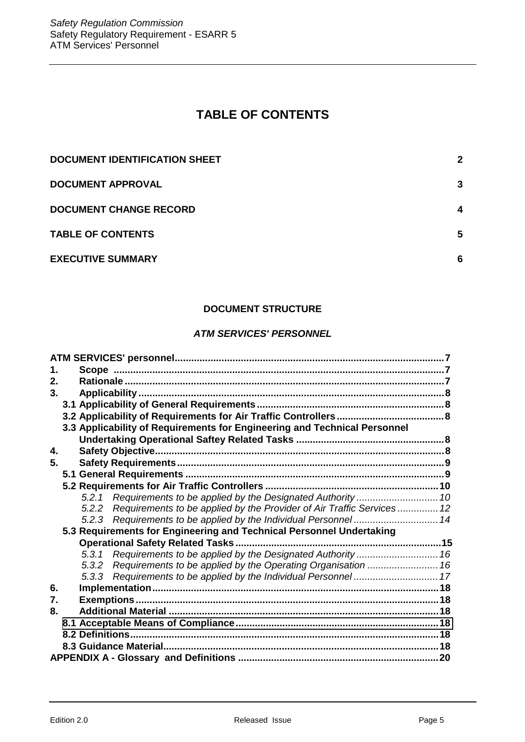# **TABLE OF CONTENTS**

| DOCUMENT IDENTIFICATION SHEET | 2 |
|-------------------------------|---|
| DOCUMENT APPROVAL             | 3 |
| <b>DOCUMENT CHANGE RECORD</b> | 4 |
| <b>TABLE OF CONTENTS</b>      | 5 |
| <b>EXECUTIVE SUMMARY</b>      | 6 |

## **DOCUMENT STRUCTURE**

#### *ATM SERVICES' PERSONNEL*

| 1. |  |  |                                                                              |  |  |
|----|--|--|------------------------------------------------------------------------------|--|--|
| 2. |  |  |                                                                              |  |  |
| 3. |  |  |                                                                              |  |  |
|    |  |  |                                                                              |  |  |
|    |  |  |                                                                              |  |  |
|    |  |  | 3.3 Applicability of Requirements for Engineering and Technical Personnel    |  |  |
|    |  |  |                                                                              |  |  |
| 4. |  |  |                                                                              |  |  |
| 5. |  |  |                                                                              |  |  |
|    |  |  |                                                                              |  |  |
|    |  |  |                                                                              |  |  |
|    |  |  |                                                                              |  |  |
|    |  |  | 5.2.2 Requirements to be applied by the Provider of Air Traffic Services  12 |  |  |
|    |  |  |                                                                              |  |  |
|    |  |  | 5.3 Requirements for Engineering and Technical Personnel Undertaking         |  |  |
|    |  |  |                                                                              |  |  |
|    |  |  |                                                                              |  |  |
|    |  |  | 5.3.2 Requirements to be applied by the Operating Organisation  16           |  |  |
|    |  |  |                                                                              |  |  |
| 6. |  |  |                                                                              |  |  |
| 7. |  |  |                                                                              |  |  |
| 8. |  |  |                                                                              |  |  |
|    |  |  |                                                                              |  |  |
|    |  |  |                                                                              |  |  |
|    |  |  |                                                                              |  |  |
|    |  |  |                                                                              |  |  |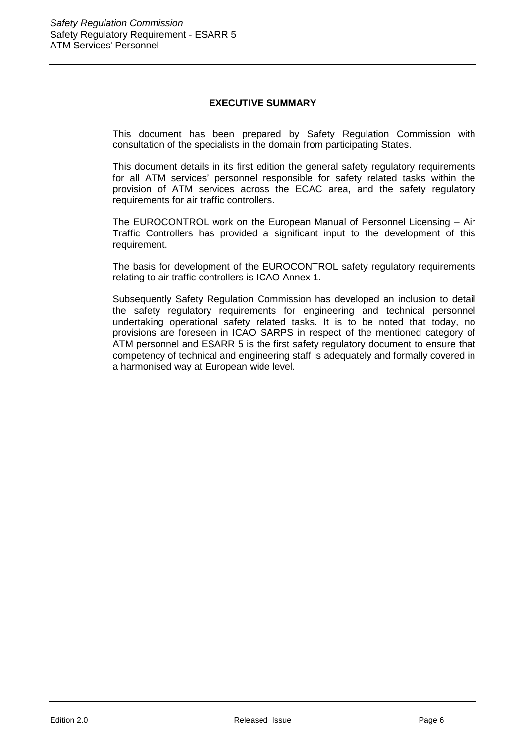#### **EXECUTIVE SUMMARY**

This document has been prepared by Safety Regulation Commission with consultation of the specialists in the domain from participating States.

This document details in its first edition the general safety regulatory requirements for all ATM services' personnel responsible for safety related tasks within the provision of ATM services across the ECAC area, and the safety regulatory requirements for air traffic controllers.

The EUROCONTROL work on the European Manual of Personnel Licensing – Air Traffic Controllers has provided a significant input to the development of this requirement.

The basis for development of the EUROCONTROL safety regulatory requirements relating to air traffic controllers is ICAO Annex 1.

Subsequently Safety Regulation Commission has developed an inclusion to detail the safety regulatory requirements for engineering and technical personnel undertaking operational safety related tasks. It is to be noted that today, no provisions are foreseen in ICAO SARPS in respect of the mentioned category of ATM personnel and ESARR 5 is the first safety regulatory document to ensure that competency of technical and engineering staff is adequately and formally covered in a harmonised way at European wide level.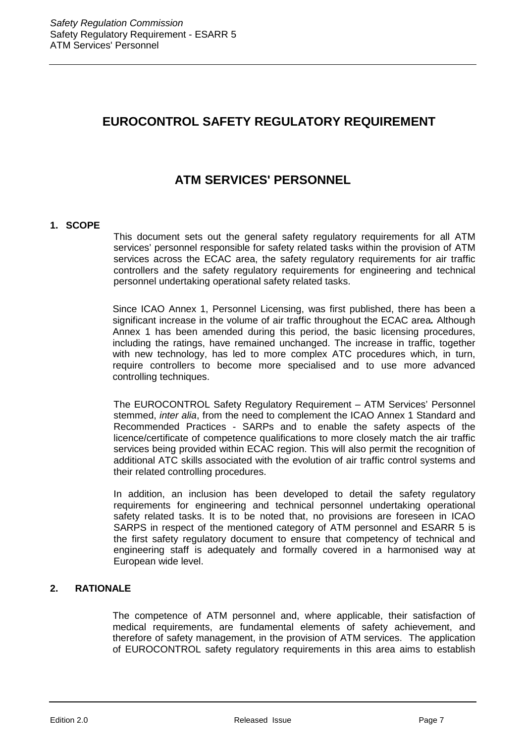# **EUROCONTROL SAFETY REGULATORY REQUIREMENT**

# **ATM SERVICES' PERSONNEL**

#### **1. SCOPE**

This document sets out the general safety regulatory requirements for all ATM services' personnel responsible for safety related tasks within the provision of ATM services across the ECAC area, the safety regulatory requirements for air traffic controllers and the safety regulatory requirements for engineering and technical personnel undertaking operational safety related tasks.

Since ICAO Annex 1, Personnel Licensing, was first published, there has been a significant increase in the volume of air traffic throughout the ECAC area*.* Although Annex 1 has been amended during this period, the basic licensing procedures, including the ratings, have remained unchanged. The increase in traffic, together with new technology, has led to more complex ATC procedures which, in turn, require controllers to become more specialised and to use more advanced controlling techniques.

The EUROCONTROL Safety Regulatory Requirement – ATM Services' Personnel stemmed, *inter alia*, from the need to complement the ICAO Annex 1 Standard and Recommended Practices - SARPs and to enable the safety aspects of the licence/certificate of competence qualifications to more closely match the air traffic services being provided within ECAC region. This will also permit the recognition of additional ATC skills associated with the evolution of air traffic control systems and their related controlling procedures.

In addition, an inclusion has been developed to detail the safety regulatory requirements for engineering and technical personnel undertaking operational safety related tasks. It is to be noted that, no provisions are foreseen in ICAO SARPS in respect of the mentioned category of ATM personnel and ESARR 5 is the first safety regulatory document to ensure that competency of technical and engineering staff is adequately and formally covered in a harmonised way at European wide level.

#### **2. RATIONALE**

The competence of ATM personnel and, where applicable, their satisfaction of medical requirements, are fundamental elements of safety achievement, and therefore of safety management, in the provision of ATM services. The application of EUROCONTROL safety regulatory requirements in this area aims to establish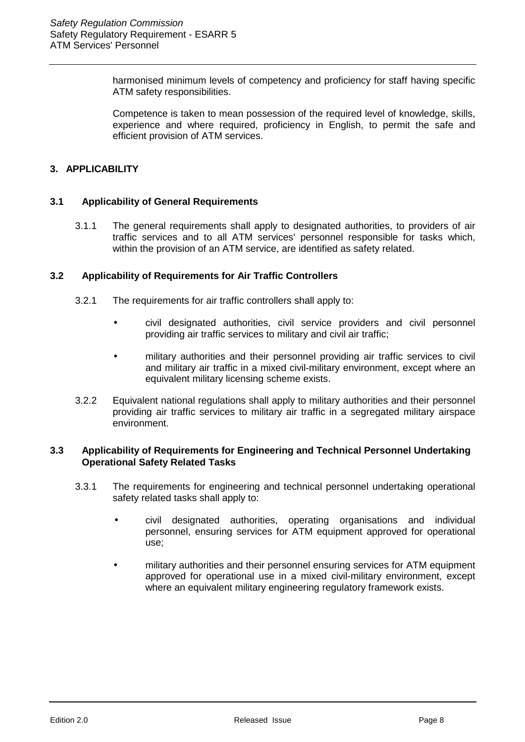harmonised minimum levels of competency and proficiency for staff having specific ATM safety responsibilities.

Competence is taken to mean possession of the required level of knowledge, skills, experience and where required, proficiency in English, to permit the safe and efficient provision of ATM services.

#### **3. APPLICABILITY**

#### **3.1 Applicability of General Requirements**

3.1.1 The general requirements shall apply to designated authorities, to providers of air traffic services and to all ATM services' personnel responsible for tasks which, within the provision of an ATM service, are identified as safety related.

#### **3.2 Applicability of Requirements for Air Traffic Controllers**

- 3.2.1 The requirements for air traffic controllers shall apply to:
	- civil designated authorities, civil service providers and civil personnel providing air traffic services to military and civil air traffic;
	- military authorities and their personnel providing air traffic services to civil and military air traffic in a mixed civil-military environment, except where an equivalent military licensing scheme exists.
- 3.2.2 Equivalent national regulations shall apply to military authorities and their personnel providing air traffic services to military air traffic in a segregated military airspace environment.

#### **3.3 Applicability of Requirements for Engineering and Technical Personnel Undertaking Operational Safety Related Tasks**

- 3.3.1 The requirements for engineering and technical personnel undertaking operational safety related tasks shall apply to:
	- civil designated authorities, operating organisations and individual personnel, ensuring services for ATM equipment approved for operational use;
	- military authorities and their personnel ensuring services for ATM equipment approved for operational use in a mixed civil-military environment, except where an equivalent military engineering regulatory framework exists.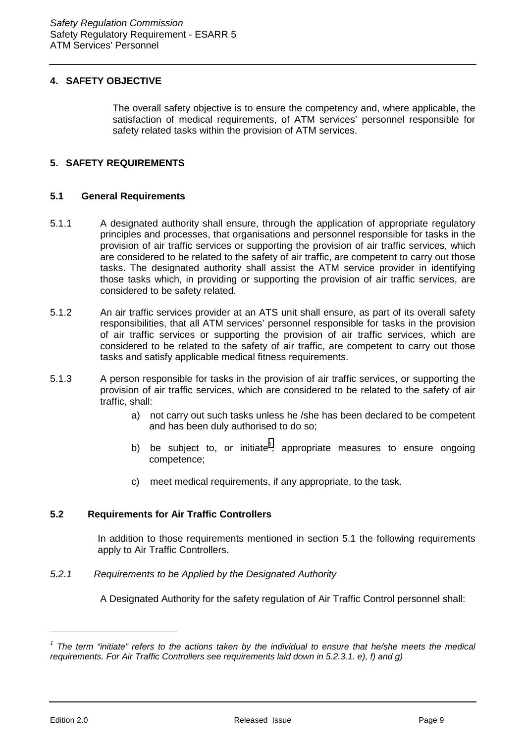#### **4. SAFETY OBJECTIVE**

The overall safety objective is to ensure the competency and, where applicable, the satisfaction of medical requirements, of ATM services' personnel responsible for safety related tasks within the provision of ATM services.

#### **5. SAFETY REQUIREMENTS**

#### **5.1 General Requirements**

- 5.1.1 A designated authority shall ensure, through the application of appropriate regulatory principles and processes, that organisations and personnel responsible for tasks in the provision of air traffic services or supporting the provision of air traffic services, which are considered to be related to the safety of air traffic, are competent to carry out those tasks. The designated authority shall assist the ATM service provider in identifying those tasks which, in providing or supporting the provision of air traffic services, are considered to be safety related.
- 5.1.2 An air traffic services provider at an ATS unit shall ensure, as part of its overall safety responsibilities, that all ATM services' personnel responsible for tasks in the provision of air traffic services or supporting the provision of air traffic services, which are considered to be related to the safety of air traffic, are competent to carry out those tasks and satisfy applicable medical fitness requirements.
- 5.1.3 A person responsible for tasks in the provision of air traffic services, or supporting the provision of air traffic services, which are considered to be related to the safety of air traffic, shall:
	- a) not carry out such tasks unless he /she has been declared to be competent and has been duly authorised to do so;
	- b) be subject to, or initiate<sup>1</sup>, appropriate measures to ensure ongoing competence;
	- c) meet medical requirements, if any appropriate, to the task.

#### **5.2 Requirements for Air Traffic Controllers**

In addition to those requirements mentioned in section 5.1 the following requirements apply to Air Traffic Controllers.

*5.2.1 Requirements to be Applied by the Designated Authority*

A Designated Authority for the safety regulation of Air Traffic Control personnel shall:

<sup>&</sup>lt;sup>1</sup> The term "initiate" refers to the actions taken by the individual to ensure that he/she meets the medical *requirements. For Air Traffic Controllers see requirements laid down in 5.2.3.1. e), f) and g)*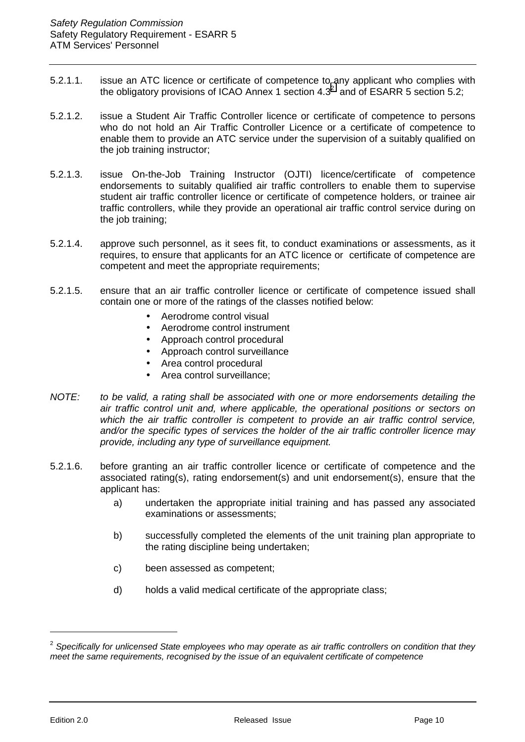- 5.2.1.1. issue an ATC licence or certificate of competence to any applicant who complies with the obligatory provisions of ICAO Annex 1 section 4.3<sup>2</sup> and of ESARR 5 section 5.2;
- 5.2.1.2. issue a Student Air Traffic Controller licence or certificate of competence to persons who do not hold an Air Traffic Controller Licence or a certificate of competence to enable them to provide an ATC service under the supervision of a suitably qualified on the job training instructor;
- 5.2.1.3. issue On-the-Job Training Instructor (OJTI) licence/certificate of competence endorsements to suitably qualified air traffic controllers to enable them to supervise student air traffic controller licence or certificate of competence holders, or trainee air traffic controllers, while they provide an operational air traffic control service during on the job training;
- 5.2.1.4. approve such personnel, as it sees fit, to conduct examinations or assessments, as it requires, to ensure that applicants for an ATC licence or certificate of competence are competent and meet the appropriate requirements;
- 5.2.1.5. ensure that an air traffic controller licence or certificate of competence issued shall contain one or more of the ratings of the classes notified below:
	- Aerodrome control visual
	- Aerodrome control instrument
	- Approach control procedural
	- Approach control surveillance
	- Area control procedural
	- Area control surveillance;
- *NOTE: to be valid, a rating shall be associated with one or more endorsements detailing the air traffic control unit and, where applicable, the operational positions or sectors on which the air traffic controller is competent to provide an air traffic control service, and/or the specific types of services the holder of the air traffic controller licence may provide, including any type of surveillance equipment.*
- 5.2.1.6. before granting an air traffic controller licence or certificate of competence and the associated rating(s), rating endorsement(s) and unit endorsement(s), ensure that the applicant has:
	- a) undertaken the appropriate initial training and has passed any associated examinations or assessments;
	- b) successfully completed the elements of the unit training plan appropriate to the rating discipline being undertaken;
	- c) been assessed as competent;
	- d) holds a valid medical certificate of the appropriate class;

<sup>2</sup> *Specifically for unlicensed State employees who may operate as air traffic controllers on condition that they meet the same requirements, recognised by the issue of an equivalent certificate of competence*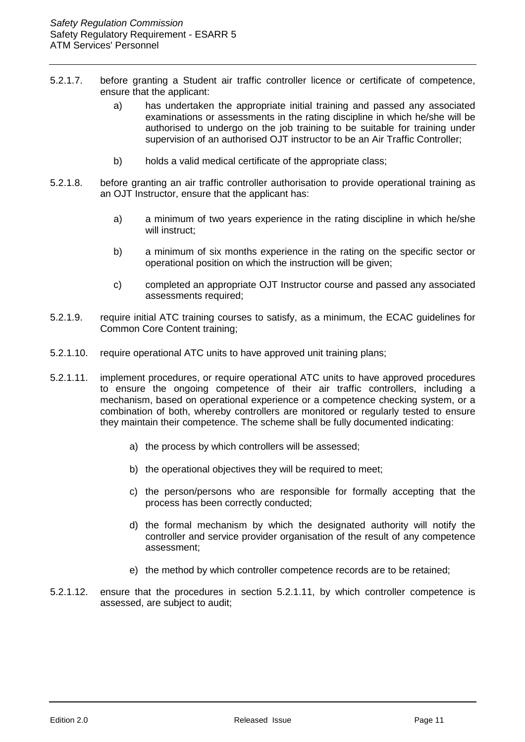- 5.2.1.7. before granting a Student air traffic controller licence or certificate of competence, ensure that the applicant:
	- a) has undertaken the appropriate initial training and passed any associated examinations or assessments in the rating discipline in which he/she will be authorised to undergo on the job training to be suitable for training under supervision of an authorised OJT instructor to be an Air Traffic Controller;
	- b) holds a valid medical certificate of the appropriate class;
- 5.2.1.8. before granting an air traffic controller authorisation to provide operational training as an OJT Instructor, ensure that the applicant has:
	- a) a minimum of two years experience in the rating discipline in which he/she will instruct:
	- b) a minimum of six months experience in the rating on the specific sector or operational position on which the instruction will be given;
	- c) completed an appropriate OJT Instructor course and passed any associated assessments required;
- 5.2.1.9. require initial ATC training courses to satisfy, as a minimum, the ECAC guidelines for Common Core Content training;
- 5.2.1.10. require operational ATC units to have approved unit training plans;
- 5.2.1.11. implement procedures, or require operational ATC units to have approved procedures to ensure the ongoing competence of their air traffic controllers, including a mechanism, based on operational experience or a competence checking system, or a combination of both, whereby controllers are monitored or regularly tested to ensure they maintain their competence. The scheme shall be fully documented indicating:
	- a) the process by which controllers will be assessed;
	- b) the operational objectives they will be required to meet;
	- c) the person/persons who are responsible for formally accepting that the process has been correctly conducted;
	- d) the formal mechanism by which the designated authority will notify the controller and service provider organisation of the result of any competence assessment;
	- e) the method by which controller competence records are to be retained;
- 5.2.1.12. ensure that the procedures in section 5.2.1.11, by which controller competence is assessed, are subject to audit;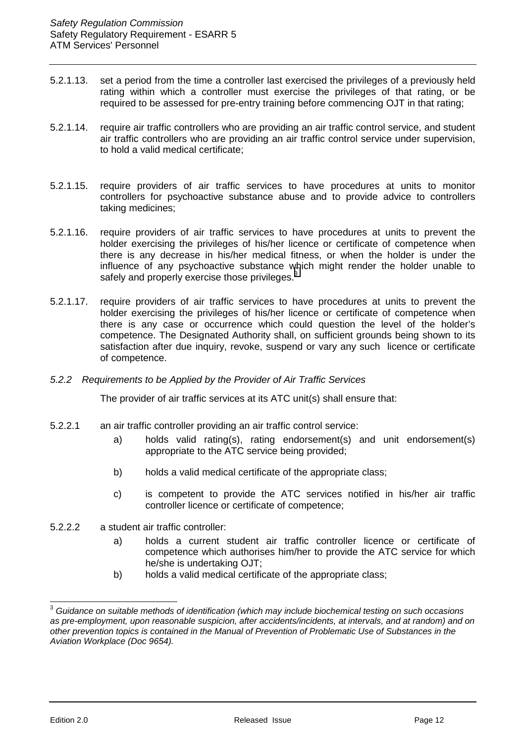- 5.2.1.13. set a period from the time a controller last exercised the privileges of a previously held rating within which a controller must exercise the privileges of that rating, or be required to be assessed for pre-entry training before commencing OJT in that rating;
- 5.2.1.14. require air traffic controllers who are providing an air traffic control service, and student air traffic controllers who are providing an air traffic control service under supervision, to hold a valid medical certificate;
- 5.2.1.15. require providers of air traffic services to have procedures at units to monitor controllers for psychoactive substance abuse and to provide advice to controllers taking medicines;
- 5.2.1.16. require providers of air traffic services to have procedures at units to prevent the holder exercising the privileges of his/her licence or certificate of competence when there is any decrease in his/her medical fitness, or when the holder is under the influence of any psychoactive substance which might render the holder unable to safely and properly exercise those privileges. $3$
- 5.2.1.17. require providers of air traffic services to have procedures at units to prevent the holder exercising the privileges of his/her licence or certificate of competence when there is any case or occurrence which could question the level of the holder's competence. The Designated Authority shall, on sufficient grounds being shown to its satisfaction after due inquiry, revoke, suspend or vary any such licence or certificate of competence.
- *5.2.2 Requirements to be Applied by the Provider of Air Traffic Services*

The provider of air traffic services at its ATC unit(s) shall ensure that:

- 5.2.2.1 an air traffic controller providing an air traffic control service:
	- a) holds valid rating(s), rating endorsement(s) and unit endorsement(s) appropriate to the ATC service being provided;
	- b) holds a valid medical certificate of the appropriate class;
	- c) is competent to provide the ATC services notified in his/her air traffic controller licence or certificate of competence;
- 5.2.2.2 a student air traffic controller:
	- a) holds a current student air traffic controller licence or certificate of competence which authorises him/her to provide the ATC service for which he/she is undertaking OJT;
	- b) holds a valid medical certificate of the appropriate class;

<sup>3</sup> *Guidance on suitable methods of identification (which may include biochemical testing on such occasions as pre-employment, upon reasonable suspicion, after accidents/incidents, at intervals, and at random) and on other prevention topics is contained in the Manual of Prevention of Problematic Use of Substances in the Aviation Workplace (Doc 9654).*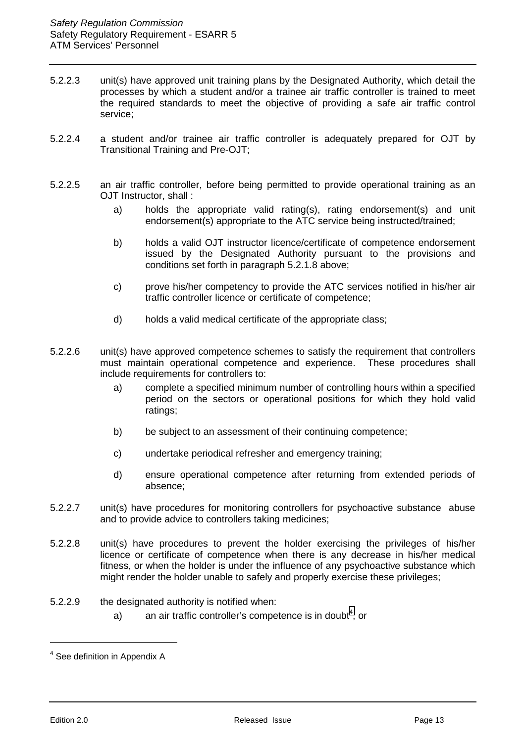- 5.2.2.3 unit(s) have approved unit training plans by the Designated Authority, which detail the processes by which a student and/or a trainee air traffic controller is trained to meet the required standards to meet the objective of providing a safe air traffic control service;
- 5.2.2.4 a student and/or trainee air traffic controller is adequately prepared for OJT by Transitional Training and Pre-OJT;
- 5.2.2.5 an air traffic controller, before being permitted to provide operational training as an OJT Instructor, shall :
	- a) holds the appropriate valid rating(s), rating endorsement(s) and unit endorsement(s) appropriate to the ATC service being instructed/trained;
	- b) holds a valid OJT instructor licence/certificate of competence endorsement issued by the Designated Authority pursuant to the provisions and conditions set forth in paragraph 5.2.1.8 above;
	- c) prove his/her competency to provide the ATC services notified in his/her air traffic controller licence or certificate of competence;
	- d) holds a valid medical certificate of the appropriate class;
- 5.2.2.6 unit(s) have approved competence schemes to satisfy the requirement that controllers must maintain operational competence and experience. These procedures shall include requirements for controllers to:
	- a) complete a specified minimum number of controlling hours within a specified period on the sectors or operational positions for which they hold valid ratings;
	- b) be subject to an assessment of their continuing competence;
	- c) undertake periodical refresher and emergency training;
	- d) ensure operational competence after returning from extended periods of absence;
- 5.2.2.7 unit(s) have procedures for monitoring controllers for psychoactive substance abuse and to provide advice to controllers taking medicines;
- 5.2.2.8 unit(s) have procedures to prevent the holder exercising the privileges of his/her licence or certificate of competence when there is any decrease in his/her medical fitness, or when the holder is under the influence of any psychoactive substance which might render the holder unable to safely and properly exercise these privileges;
- 5.2.2.9 the designated authority is notified when:
	- a) an air traffic controller's competence is in doubt<sup>4</sup>, or

<sup>&</sup>lt;sup>4</sup> See definition in Appendix A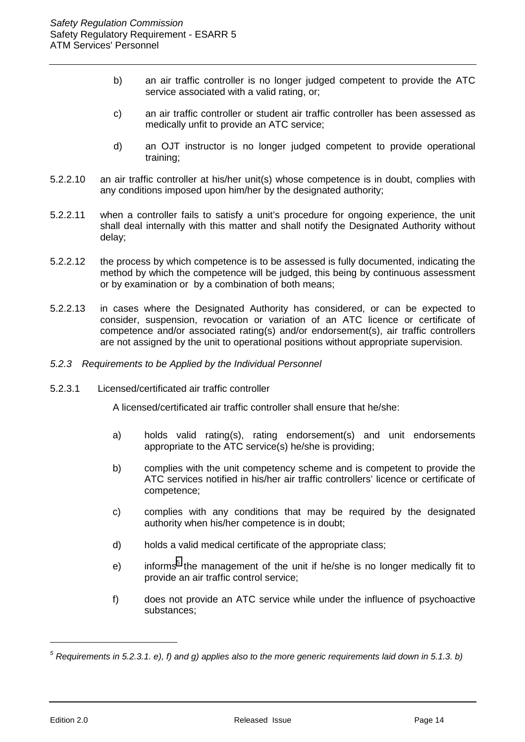- b) an air traffic controller is no longer judged competent to provide the ATC service associated with a valid rating, or;
- c) an air traffic controller or student air traffic controller has been assessed as medically unfit to provide an ATC service;
- d) an OJT instructor is no longer judged competent to provide operational training;
- 5.2.2.10 an air traffic controller at his/her unit(s) whose competence is in doubt, complies with any conditions imposed upon him/her by the designated authority;
- 5.2.2.11 when a controller fails to satisfy a unit's procedure for ongoing experience, the unit shall deal internally with this matter and shall notify the Designated Authority without delay;
- 5.2.2.12 the process by which competence is to be assessed is fully documented, indicating the method by which the competence will be judged, this being by continuous assessment or by examination or by a combination of both means;
- 5.2.2.13 in cases where the Designated Authority has considered, or can be expected to consider, suspension, revocation or variation of an ATC licence or certificate of competence and/or associated rating(s) and/or endorsement(s), air traffic controllers are not assigned by the unit to operational positions without appropriate supervision.
- *5.2.3 Requirements to be Applied by the Individual Personnel*
- 5.2.3.1 Licensed/certificated air traffic controller

A licensed/certificated air traffic controller shall ensure that he/she:

- a) holds valid rating(s), rating endorsement(s) and unit endorsements appropriate to the ATC service(s) he/she is providing;
- b) complies with the unit competency scheme and is competent to provide the ATC services notified in his/her air traffic controllers' licence or certificate of competence;
- c) complies with any conditions that may be required by the designated authority when his/her competence is in doubt;
- d) holds a valid medical certificate of the appropriate class;
- e) informs<sup>5</sup> the management of the unit if he/she is no longer medically fit to provide an air traffic control service;
- f) does not provide an ATC service while under the influence of psychoactive substances;

*<sup>5</sup> Requirements in 5.2.3.1. e), f) and g) applies also to the more generic requirements laid down in 5.1.3. b)*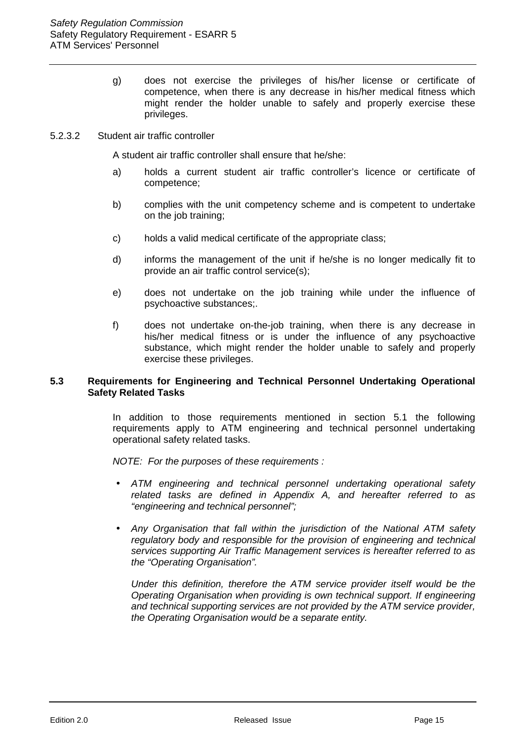g) does not exercise the privileges of his/her license or certificate of competence, when there is any decrease in his/her medical fitness which might render the holder unable to safely and properly exercise these privileges.

#### 5.2.3.2 Student air traffic controller

A student air traffic controller shall ensure that he/she:

- a) holds a current student air traffic controller's licence or certificate of competence;
- b) complies with the unit competency scheme and is competent to undertake on the job training;
- c) holds a valid medical certificate of the appropriate class;
- d) informs the management of the unit if he/she is no longer medically fit to provide an air traffic control service(s);
- e) does not undertake on the job training while under the influence of psychoactive substances;.
- f) does not undertake on-the-job training, when there is any decrease in his/her medical fitness or is under the influence of any psychoactive substance, which might render the holder unable to safely and properly exercise these privileges.

#### **5.3 Requirements for Engineering and Technical Personnel Undertaking Operational Safety Related Tasks**

In addition to those requirements mentioned in section 5.1 the following requirements apply to ATM engineering and technical personnel undertaking operational safety related tasks.

*NOTE: For the purposes of these requirements :*

- *ATM engineering and technical personnel undertaking operational safety related tasks are defined in Appendix A, and hereafter referred to as "engineering and technical personnel";*
- *Any Organisation that fall within the jurisdiction of the National ATM safety regulatory body and responsible for the provision of engineering and technical services supporting Air Traffic Management services is hereafter referred to as the "Operating Organisation".*

*Under this definition, therefore the ATM service provider itself would be the Operating Organisation when providing is own technical support. If engineering and technical supporting services are not provided by the ATM service provider, the Operating Organisation would be a separate entity.*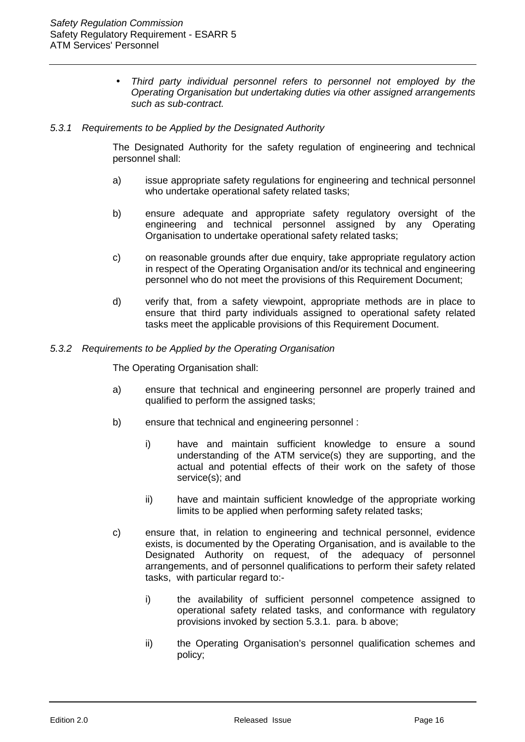• *Third party individual personnel refers to personnel not employed by the Operating Organisation but undertaking duties via other assigned arrangements such as sub-contract.*

#### *5.3.1 Requirements to be Applied by the Designated Authority*

The Designated Authority for the safety regulation of engineering and technical personnel shall:

- a) issue appropriate safety regulations for engineering and technical personnel who undertake operational safety related tasks;
- b) ensure adequate and appropriate safety regulatory oversight of the engineering and technical personnel assigned by any Operating Organisation to undertake operational safety related tasks;
- c) on reasonable grounds after due enquiry, take appropriate regulatory action in respect of the Operating Organisation and/or its technical and engineering personnel who do not meet the provisions of this Requirement Document;
- d) verify that, from a safety viewpoint, appropriate methods are in place to ensure that third party individuals assigned to operational safety related tasks meet the applicable provisions of this Requirement Document.

#### *5.3.2 Requirements to be Applied by the Operating Organisation*

The Operating Organisation shall:

- a) ensure that technical and engineering personnel are properly trained and qualified to perform the assigned tasks;
- b) ensure that technical and engineering personnel :
	- i) have and maintain sufficient knowledge to ensure a sound understanding of the ATM service(s) they are supporting, and the actual and potential effects of their work on the safety of those service(s); and
	- ii) have and maintain sufficient knowledge of the appropriate working limits to be applied when performing safety related tasks;
- c) ensure that, in relation to engineering and technical personnel, evidence exists, is documented by the Operating Organisation, and is available to the Designated Authority on request, of the adequacy of personnel arrangements, and of personnel qualifications to perform their safety related tasks, with particular regard to:
	- i) the availability of sufficient personnel competence assigned to operational safety related tasks, and conformance with regulatory provisions invoked by section 5.3.1. para. b above;
	- ii) the Operating Organisation's personnel qualification schemes and policy;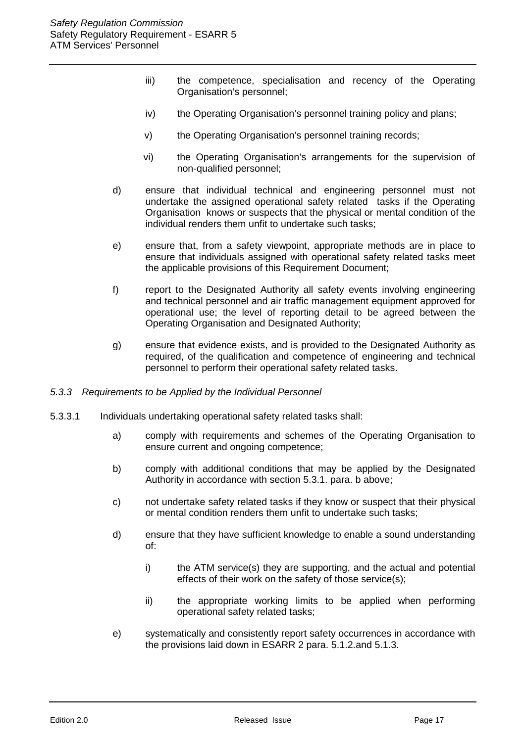- iii) the competence, specialisation and recency of the Operating Organisation's personnel;
- iv) the Operating Organisation's personnel training policy and plans;
- v) the Operating Organisation's personnel training records;
- vi) the Operating Organisation's arrangements for the supervision of non-qualified personnel;
- d) ensure that individual technical and engineering personnel must not undertake the assigned operational safety related tasks if the Operating Organisation knows or suspects that the physical or mental condition of the individual renders them unfit to undertake such tasks;
- e) ensure that, from a safety viewpoint, appropriate methods are in place to ensure that individuals assigned with operational safety related tasks meet the applicable provisions of this Requirement Document;
- f) report to the Designated Authority all safety events involving engineering and technical personnel and air traffic management equipment approved for operational use; the level of reporting detail to be agreed between the Operating Organisation and Designated Authority;
- g) ensure that evidence exists, and is provided to the Designated Authority as required, of the qualification and competence of engineering and technical personnel to perform their operational safety related tasks.
- *5.3.3 Requirements to be Applied by the Individual Personnel*
- 5.3.3.1 Individuals undertaking operational safety related tasks shall:
	- a) comply with requirements and schemes of the Operating Organisation to ensure current and ongoing competence;
	- b) comply with additional conditions that may be applied by the Designated Authority in accordance with section 5.3.1. para. b above;
	- c) not undertake safety related tasks if they know or suspect that their physical or mental condition renders them unfit to undertake such tasks;
	- d) ensure that they have sufficient knowledge to enable a sound understanding of:
		- i) the ATM service(s) they are supporting, and the actual and potential effects of their work on the safety of those service(s);
		- ii) the appropriate working limits to be applied when performing operational safety related tasks;
	- e) systematically and consistently report safety occurrences in accordance with the provisions laid down in ESARR 2 para. 5.1.2.and 5.1.3.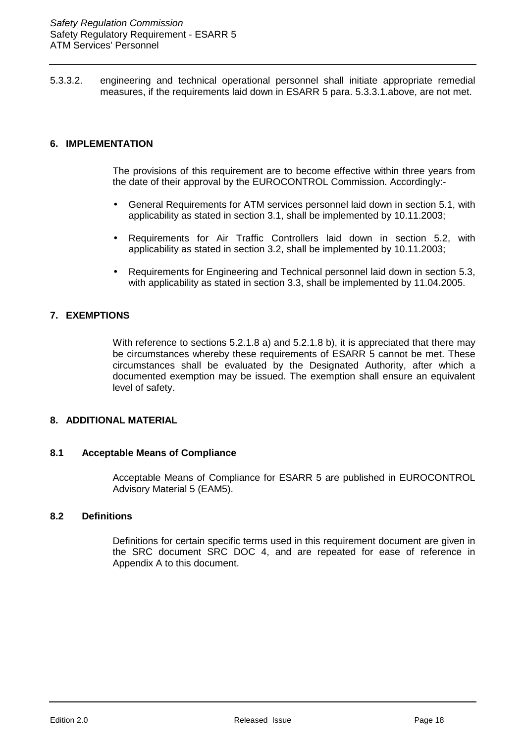<span id="page-17-0"></span>5.3.3.2. engineering and technical operational personnel shall initiate appropriate remedial measures, if the requirements laid down in ESARR 5 para. 5.3.3.1.above, are not met.

#### **6. IMPLEMENTATION**

The provisions of this requirement are to become effective within three years from the date of their approval by the EUROCONTROL Commission. Accordingly:-

- General Requirements for ATM services personnel laid down in section 5.1, with applicability as stated in section 3.1, shall be implemented by 10.11.2003;
- Requirements for Air Traffic Controllers laid down in section 5.2, with applicability as stated in section 3.2, shall be implemented by 10.11.2003;
- Requirements for Engineering and Technical personnel laid down in section 5.3, with applicability as stated in section 3.3, shall be implemented by 11.04.2005.

#### **7. EXEMPTIONS**

With reference to sections 5.2.1.8 a) and 5.2.1.8 b), it is appreciated that there may be circumstances whereby these requirements of ESARR 5 cannot be met. These circumstances shall be evaluated by the Designated Authority, after which a documented exemption may be issued. The exemption shall ensure an equivalent level of safety.

#### **8. ADDITIONAL MATERIAL**

#### **8.1 Acceptable Means of Compliance**

Acceptable Means of Compliance for ESARR 5 are published in EUROCONTROL Advisory Material 5 (EAM5).

#### **8.2 Definitions**

Definitions for certain specific terms used in this requirement document are given in the SRC document SRC DOC 4, and are repeated for ease of reference in Appendix A to this document.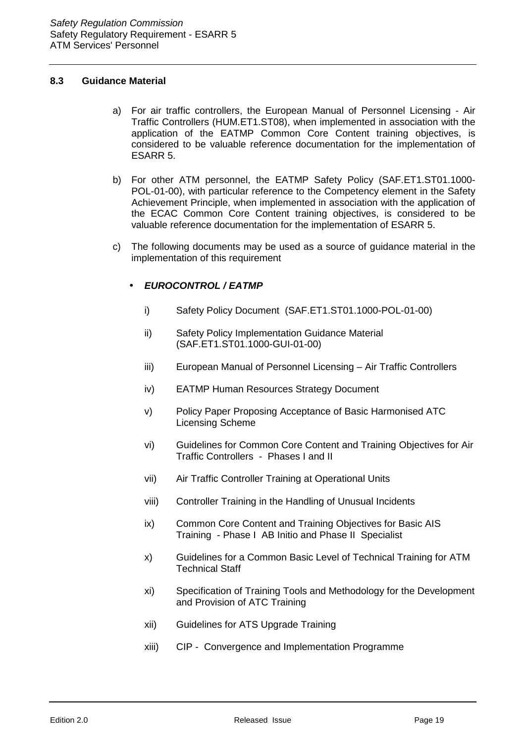#### **8.3 Guidance Material**

- a) For air traffic controllers, the European Manual of Personnel Licensing Air Traffic Controllers (HUM.ET1.ST08), when implemented in association with the application of the EATMP Common Core Content training objectives, is considered to be valuable reference documentation for the implementation of ESARR 5.
- b) For other ATM personnel, the EATMP Safety Policy (SAF.ET1.ST01.1000- POL-01-00), with particular reference to the Competency element in the Safety Achievement Principle, when implemented in association with the application of the ECAC Common Core Content training objectives, is considered to be valuable reference documentation for the implementation of ESARR 5.
- c) The following documents may be used as a source of guidance material in the implementation of this requirement

#### • *EUROCONTROL / EATMP*

- i) Safety Policy Document (SAF.ET1.ST01.1000-POL-01-00)
- ii) Safety Policy Implementation Guidance Material (SAF.ET1.ST01.1000-GUI-01-00)
- iii) European Manual of Personnel Licensing Air Traffic Controllers
- iv) EATMP Human Resources Strategy Document
- v) Policy Paper Proposing Acceptance of Basic Harmonised ATC Licensing Scheme
- vi) Guidelines for Common Core Content and Training Objectives for Air Traffic Controllers - Phases I and II
- vii) Air Traffic Controller Training at Operational Units
- viii) Controller Training in the Handling of Unusual Incidents
- ix) Common Core Content and Training Objectives for Basic AIS Training - Phase I AB Initio and Phase II Specialist
- x) Guidelines for a Common Basic Level of Technical Training for ATM Technical Staff
- xi) Specification of Training Tools and Methodology for the Development and Provision of ATC Training
- xii) Guidelines for ATS Upgrade Training
- xiii) CIP Convergence and Implementation Programme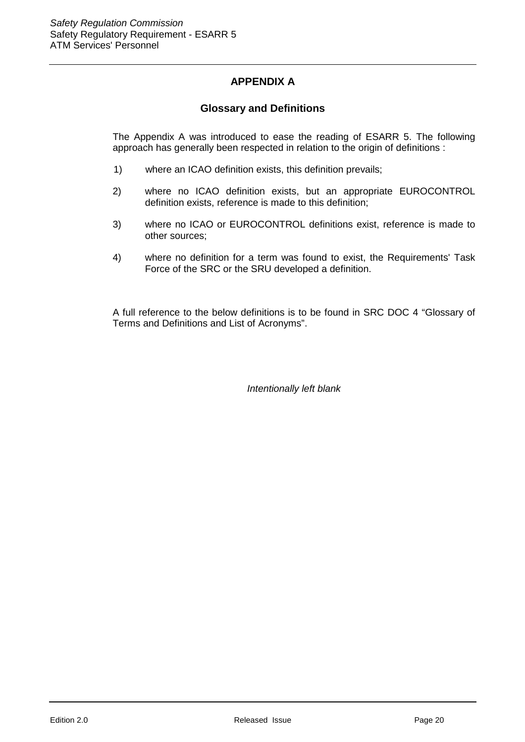## **APPENDIX A**

#### **Glossary and Definitions**

The Appendix A was introduced to ease the reading of ESARR 5. The following approach has generally been respected in relation to the origin of definitions :

- 1) where an ICAO definition exists, this definition prevails;
- 2) where no ICAO definition exists, but an appropriate EUROCONTROL definition exists, reference is made to this definition;
- 3) where no ICAO or EUROCONTROL definitions exist, reference is made to other sources;
- 4) where no definition for a term was found to exist, the Requirements' Task Force of the SRC or the SRU developed a definition.

A full reference to the below definitions is to be found in SRC DOC 4 "Glossary of Terms and Definitions and List of Acronyms".

*Intentionally left blank*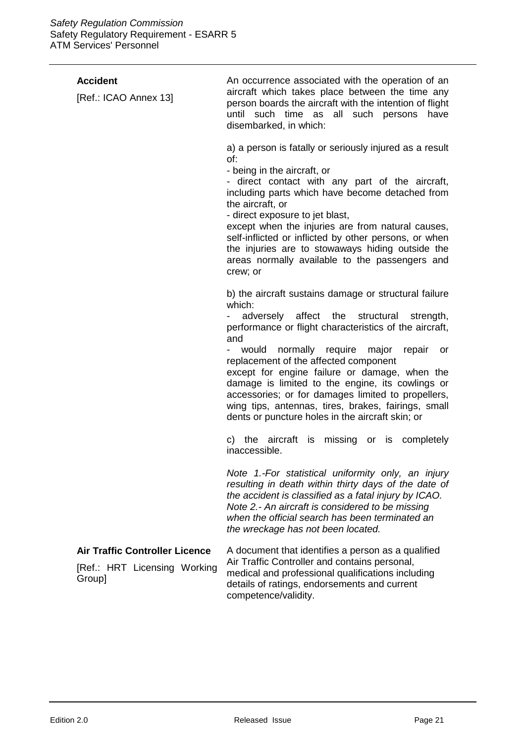| <b>Accident</b><br>[Ref.: ICAO Annex 13]                                        | An occurrence associated with the operation of an<br>aircraft which takes place between the time any<br>person boards the aircraft with the intention of flight<br>until such time as all such persons<br>have<br>disembarked, in which:                                                                                                                                                                                                                                                                                                                                                                                  |
|---------------------------------------------------------------------------------|---------------------------------------------------------------------------------------------------------------------------------------------------------------------------------------------------------------------------------------------------------------------------------------------------------------------------------------------------------------------------------------------------------------------------------------------------------------------------------------------------------------------------------------------------------------------------------------------------------------------------|
|                                                                                 | a) a person is fatally or seriously injured as a result<br>of:<br>- being in the aircraft, or<br>- direct contact with any part of the aircraft,<br>including parts which have become detached from<br>the aircraft, or<br>- direct exposure to jet blast,<br>except when the injuries are from natural causes,<br>self-inflicted or inflicted by other persons, or when<br>the injuries are to stowaways hiding outside the<br>areas normally available to the passengers and<br>crew; or                                                                                                                                |
|                                                                                 | b) the aircraft sustains damage or structural failure<br>which:<br>adversely affect the<br>structural<br>strength,<br>performance or flight characteristics of the aircraft,<br>and<br>would normally require major repair<br>or<br>$\sim$<br>replacement of the affected component<br>except for engine failure or damage, when the<br>damage is limited to the engine, its cowlings or<br>accessories; or for damages limited to propellers,<br>wing tips, antennas, tires, brakes, fairings, small<br>dents or puncture holes in the aircraft skin; or<br>c) the aircraft is missing or is completely<br>inaccessible. |
|                                                                                 | Note 1.-For statistical uniformity only, an injury<br>resulting in death within thirty days of the date of<br>the accident is classified as a fatal injury by ICAO.<br>Note 2.- An aircraft is considered to be missing<br>when the official search has been terminated an<br>the wreckage has not been located.                                                                                                                                                                                                                                                                                                          |
| <b>Air Traffic Controller Licence</b><br>[Ref.: HRT Licensing Working<br>Group] | A document that identifies a person as a qualified<br>Air Traffic Controller and contains personal,<br>medical and professional qualifications including<br>details of ratings, endorsements and current<br>competence/validity.                                                                                                                                                                                                                                                                                                                                                                                          |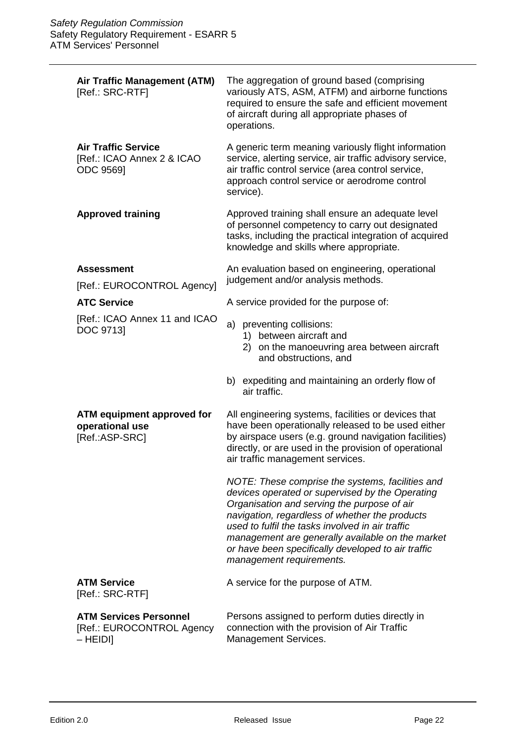| <b>Air Traffic Management (ATM)</b><br>[Ref.: SRC-RTF]                   | The aggregation of ground based (comprising<br>variously ATS, ASM, ATFM) and airborne functions<br>required to ensure the safe and efficient movement<br>of aircraft during all appropriate phases of<br>operations.                                                                                                                                                                           |
|--------------------------------------------------------------------------|------------------------------------------------------------------------------------------------------------------------------------------------------------------------------------------------------------------------------------------------------------------------------------------------------------------------------------------------------------------------------------------------|
| <b>Air Traffic Service</b><br>[Ref.: ICAO Annex 2 & ICAO<br>ODC 9569]    | A generic term meaning variously flight information<br>service, alerting service, air traffic advisory service,<br>air traffic control service (area control service,<br>approach control service or aerodrome control<br>service).                                                                                                                                                            |
| <b>Approved training</b>                                                 | Approved training shall ensure an adequate level<br>of personnel competency to carry out designated<br>tasks, including the practical integration of acquired<br>knowledge and skills where appropriate.                                                                                                                                                                                       |
| <b>Assessment</b><br>[Ref.: EUROCONTROL Agency]                          | An evaluation based on engineering, operational<br>judgement and/or analysis methods.                                                                                                                                                                                                                                                                                                          |
| <b>ATC Service</b>                                                       | A service provided for the purpose of:                                                                                                                                                                                                                                                                                                                                                         |
| [Ref.: ICAO Annex 11 and ICAO<br>DOC 9713]                               | a) preventing collisions:<br>1) between aircraft and<br>2) on the manoeuvring area between aircraft<br>and obstructions, and                                                                                                                                                                                                                                                                   |
|                                                                          | b) expediting and maintaining an orderly flow of<br>air traffic.                                                                                                                                                                                                                                                                                                                               |
| <b>ATM equipment approved for</b><br>operational use<br>[Ref.:ASP-SRC]   | All engineering systems, facilities or devices that<br>have been operationally released to be used either<br>by airspace users (e.g. ground navigation facilities)<br>directly, or are used in the provision of operational<br>air traffic management services.                                                                                                                                |
|                                                                          | NOTE: These comprise the systems, facilities and<br>devices operated or supervised by the Operating<br>Organisation and serving the purpose of air<br>navigation, regardless of whether the products<br>used to fulfil the tasks involved in air traffic<br>management are generally available on the market<br>or have been specifically developed to air traffic<br>management requirements. |
| <b>ATM Service</b><br>[Ref.: SRC-RTF]                                    | A service for the purpose of ATM.                                                                                                                                                                                                                                                                                                                                                              |
| <b>ATM Services Personnel</b><br>[Ref.: EUROCONTROL Agency<br>$-$ HEIDI] | Persons assigned to perform duties directly in<br>connection with the provision of Air Traffic<br>Management Services.                                                                                                                                                                                                                                                                         |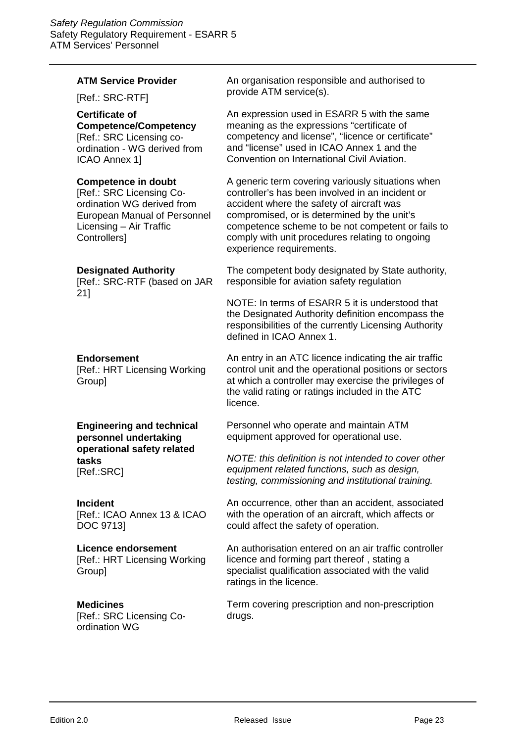#### **ATM Service Provider**

[Ref.: SRC-RTF]

ICAO Annex 1]

## **Certificate of**

**Competence/Competency** [Ref.: SRC Licensing coordination - WG derived from

### **Competence in doubt**

[Ref.: SRC Licensing Coordination WG derived from European Manual of Personnel Licensing – Air Traffic Controllers]

#### **Designated Authority**

[Ref.: SRC-RTF (based on JAR 21]

#### **Endorsement**

[Ref.: HRT Licensing Working Group]

**Engineering and technical personnel undertaking operational safety related tasks**

[Ref.:SRC]

#### **Incident**

[Ref.: ICAO Annex 13 & ICAO DOC 9713]

#### **Licence endorsement**

[Ref.: HRT Licensing Working Group]

#### **Medicines**

[Ref.: SRC Licensing Coordination WG

An organisation responsible and authorised to provide ATM service(s).

An expression used in ESARR 5 with the same meaning as the expressions "certificate of competency and license", "licence or certificate" and "license" used in ICAO Annex 1 and the Convention on International Civil Aviation.

A generic term covering variously situations when controller's has been involved in an incident or accident where the safety of aircraft was compromised, or is determined by the unit's competence scheme to be not competent or fails to comply with unit procedures relating to ongoing experience requirements.

The competent body designated by State authority, responsible for aviation safety regulation

NOTE: In terms of ESARR 5 it is understood that the Designated Authority definition encompass the responsibilities of the currently Licensing Authority defined in ICAO Annex 1.

An entry in an ATC licence indicating the air traffic control unit and the operational positions or sectors at which a controller may exercise the privileges of the valid rating or ratings included in the ATC licence.

Personnel who operate and maintain ATM equipment approved for operational use.

*NOTE: this definition is not intended to cover other equipment related functions, such as design, testing, commissioning and institutional training.*

An occurrence, other than an accident, associated with the operation of an aircraft, which affects or could affect the safety of operation.

An authorisation entered on an air traffic controller licence and forming part thereof , stating a specialist qualification associated with the valid ratings in the licence.

Term covering prescription and non-prescription drugs.